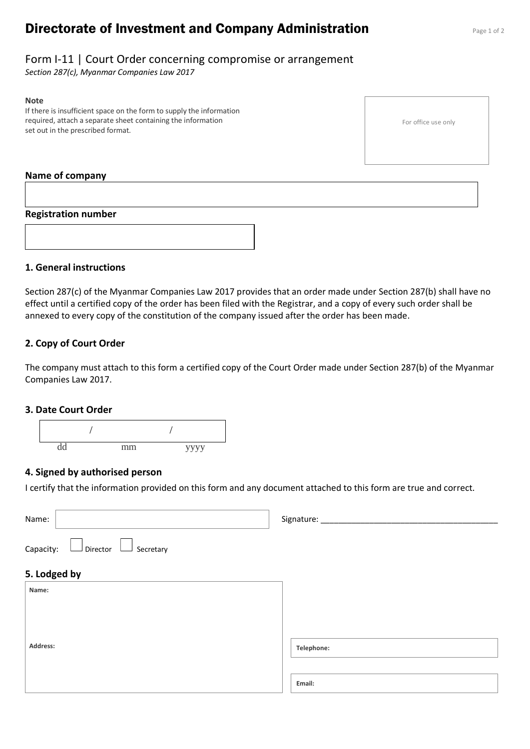# **Directorate of Investment and Company Administration** Page 1 of 2

### Form I-11 | Court Order concerning compromise or arrangement

*Section 287(c), Myanmar Companies Law 2017*

#### **Note**

If there is insufficient space on the form to supply the information required, attach a separate sheet containing the information set out in the prescribed format.

For office use only

### **Name of company**

#### **Registration number**



### **1. General instructions**

Section 287(c) of the Myanmar Companies Law 2017 provides that an order made under Section 287(b) shall have no effect until a certified copy of the order has been filed with the Registrar, and a copy of every such order shall be annexed to every copy of the constitution of the company issued after the order has been made.

### **2. Copy of Court Order**

The company must attach to this form a certified copy of the Court Order made under Section 287(b) of the Myanmar Companies Law 2017.

#### **3. Date Court Order**



### **4. Signed by authorised person**

I certify that the information provided on this form and any document attached to this form are true and correct.

| Name:                                                                                  | Signature: __________ |
|----------------------------------------------------------------------------------------|-----------------------|
| Capacity:<br>$\mathsf{\mathsf{I}}$ Director<br>Secretary<br>$\mathcal{L}^{\text{max}}$ |                       |
| 5. Lodged by                                                                           |                       |
| Name:                                                                                  |                       |
|                                                                                        |                       |
|                                                                                        |                       |
| Address:                                                                               | Telephone:            |
|                                                                                        |                       |
|                                                                                        | Email:                |